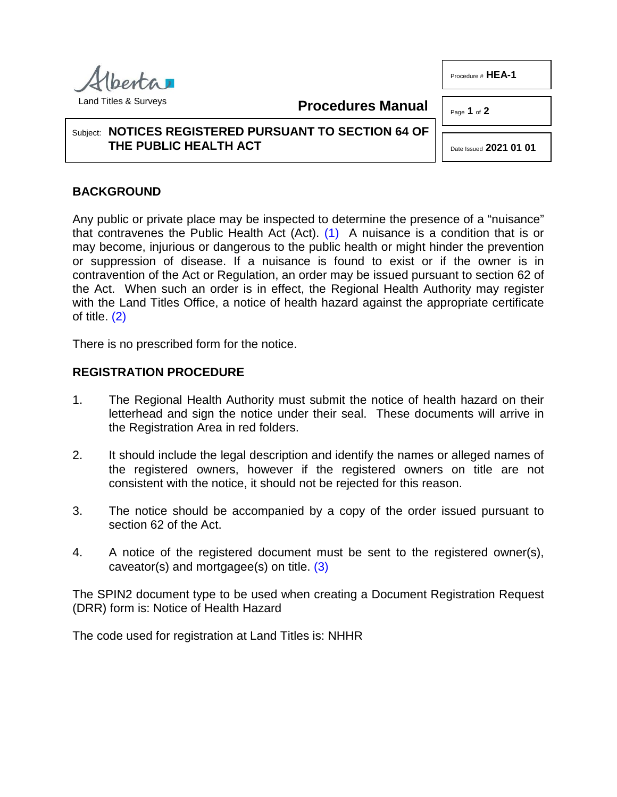

Procedure # **HEA-1** 

Page **1** of **2**

### Subject: **NOTICES REGISTERED PURSUANT TO SECTION 64 OF THE PUBLIC HEALTH ACT**

Date Issued **2021 01 01**

# **BACKGROUND**

Any public or private place may be inspected to determine the presence of a "nuisance" that contravenes the Public Health Act (Act). [\(1\)](#page-1-0) A nuisance is a condition that is or may become, injurious or dangerous to the public health or might hinder the prevention or suppression of disease. If a nuisance is found to exist or if the owner is in contravention of the Act or Regulation, an order may be issued pursuant to section 62 of the Act. When such an order is in effect, the Regional Health Authority may register with the Land Titles Office, a notice of health hazard against the appropriate certificate of title. [\(2\)](#page-1-1)

<span id="page-0-0"></span>**Procedures Manual**

<span id="page-0-1"></span>There is no prescribed form for the notice.

## **REGISTRATION PROCEDURE**

- 1. The Regional Health Authority must submit the notice of health hazard on their letterhead and sign the notice under their seal. These documents will arrive in the Registration Area in red folders.
- 2. It should include the legal description and identify the names or alleged names of the registered owners, however if the registered owners on title are not consistent with the notice, it should not be rejected for this reason.
- 3. The notice should be accompanied by a copy of the order issued pursuant to section 62 of the Act.
- <span id="page-0-2"></span>4. A notice of the registered document must be sent to the registered owner(s), caveator(s) and mortgagee(s) on title. [\(3\)](#page-1-2)

The SPIN2 document type to be used when creating a Document Registration Request (DRR) form is: Notice of Health Hazard

The code used for registration at Land Titles is: NHHR